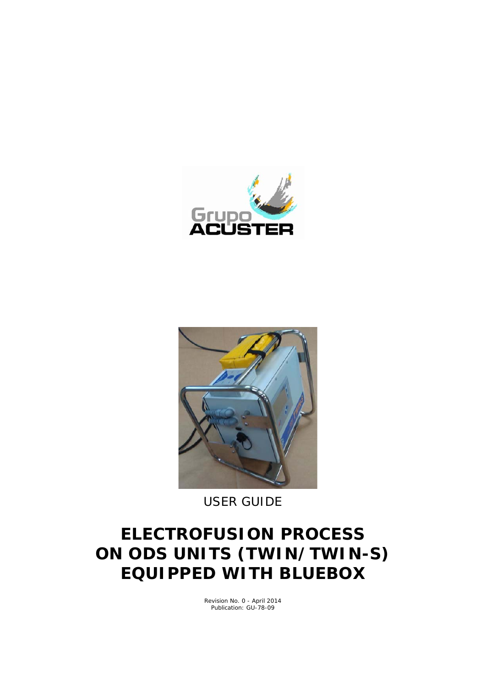



*USER GUIDE*

# **ELECTROFUSION PROCESS ON ODS UNITS (TWIN/TWIN-S) EQUIPPED WITH BLUEBOX**

Revision No. 0 - April 2014 Publication: GU-78-09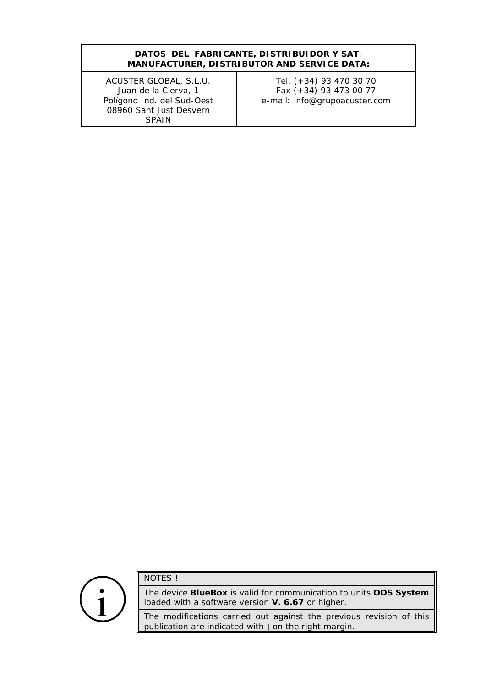#### **DATOS DEL FABRICANTE, DISTRIBUIDOR Y SAT**: *MANUFACTURER, DISTRIBUTOR AND SERVICE DATA:*

ACUSTER GLOBAL, S.L.U. Juan de la Cierva, 1 Polígono Ind. del Sud-Oest 08960 Sant Just Desvern SPAIN

Tel. (+34) 93 470 30 70 Fax (+34) 93 473 00 77 e-mail: info@grupoacuster.com

NOTES !

The device **BlueBox** is valid for communication to units **ODS System** loaded with a software version **V. 6.67** or higher.

The modifications carried out against the previous revision of this publication are indicated with  $\parallel$  on the right margin.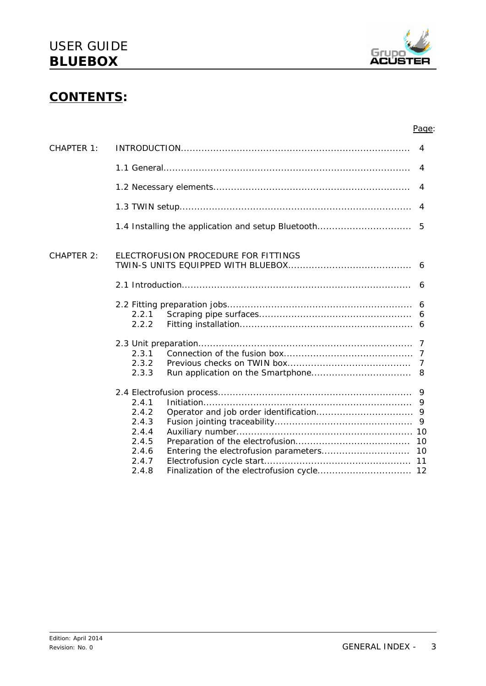

### **CONTENTS:**

#### Page:

|                                                             | 4     |
|-------------------------------------------------------------|-------|
|                                                             | 4     |
|                                                             | 4     |
|                                                             | 4     |
|                                                             |       |
| ELECTROFUSION PROCEDURE FOR FITTINGS                        |       |
|                                                             |       |
| 2.2.1<br>2.2.2                                              |       |
| 2.3.1<br>2.3.2<br>2.3.3                                     |       |
| 2.4.1<br>2.4.2<br>2.4.3<br>2.4.4<br>2.4.5<br>2.4.6<br>2.4.7 |       |
|                                                             | 2.4.8 |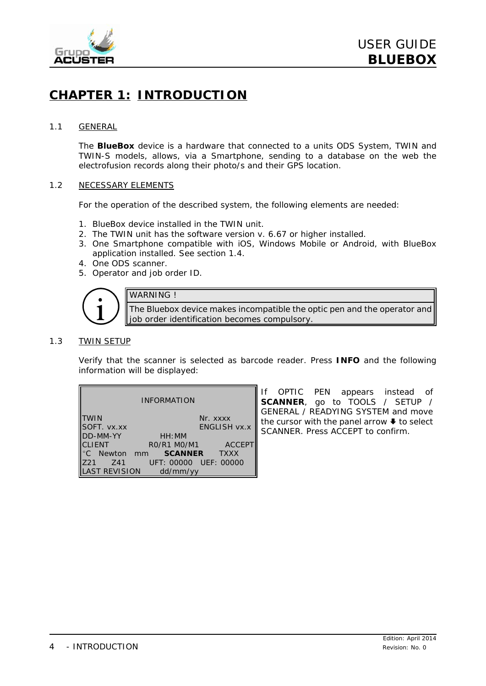

### **CHAPTER 1: INTRODUCTION**

#### 1.1 GENERAL

The **BlueBox** device is a hardware that connected to a units ODS System, TWIN and TWIN-S models, allows, via a Smartphone, sending to a database on the web the electrofusion records along their photo/s and their GPS location.

#### 1.2 NECESSARY ELEMENTS

For the operation of the described system, the following elements are needed:

- 1. BlueBox device installed in the TWIN unit.
- 2. The TWIN unit has the software version v. 6.67 or higher installed.
- 3. One Smartphone compatible with iOS, Windows Mobile or Android, with *BlueBox* application installed. See section 1.4.
- 4. One ODS scanner.
- 5. Operator and job order ID.



The Bluebox device makes incompatible the optic pen and the operator and job order identification becomes compulsory.

#### 1.3 TWIN SETUP

Verify that the scanner is selected as barcode reader. Press **INFO** and the following information will be displayed:

| <b>INFORMATION</b>                        |                             |                     |
|-------------------------------------------|-----------------------------|---------------------|
| TWIN<br>SOFT. vx.xx<br>DD-MM-YY<br>CLIENT |                             | Nr. xxxx            |
|                                           |                             | <b>ENGLISH VX.X</b> |
|                                           | HH:MM                       |                     |
|                                           | RO/R1 MO/M1                 | <b>ACCEPT</b>       |
|                                           | °C Newton mm <b>SCANNER</b> | <b>TXXX</b>         |
| Z21<br><b>Z41</b>                         | UFT: 00000 UEF: 00000       |                     |
| LAST REVISION                             | dd/mm/yy                    |                     |

If OPTIC PEN appears instead of **SCANNER**, go to TOOLS / SETUP / GENERAL / READYING SYSTEM and move the cursor with the panel arrow  $\blacklozenge$  to select SCANNER. Press ACCEPT to confirm.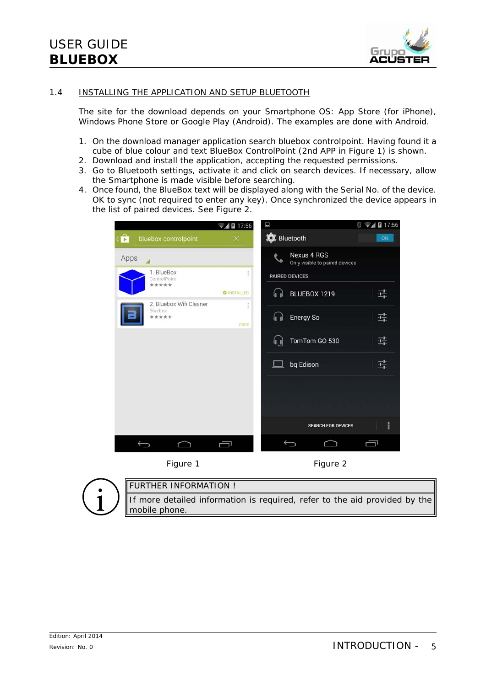

#### 1.4 INSTALLING THE APPLICATION AND SETUP BLUETOOTH

The site for the download depends on your Smartphone OS: App Store (for iPhone), Windows Phone Store or Google Play (Android). The examples are done with Android.

- 1. On the download manager application search *bluebox controlpoint*. Having found it a cube of blue colour and text BlueBox ControlPoint (2nd APP in *Figure 1*) is shown.
- 2. Download and install the application, accepting the requested permissions.
- 3. Go to Bluetooth settings, activate it and click on *search devices*. If necessary, allow the Smartphone is made visible before searching.
- 4. Once found, the BlueBox text will be displayed along with the Serial No. of the device. OK to sync (not required to enter any key). Once synchronized the device appears in the list of paired devices. See *Figure 2*.

|                                             | $\sqrt{48}17:56$   | E                                                    | 371217:56 |
|---------------------------------------------|--------------------|------------------------------------------------------|-----------|
| $\hat{\mathbf{p}}$<br>bluebox controlpoint  | $\times$           | <b>O</b> Bluetooth                                   | <b>ON</b> |
| Apps                                        |                    | <b>Nexus 4 RGS</b><br>Only visible to paired devices |           |
| 1. BlueBox<br>ControlPoint<br>*****         |                    | <b>PAIRED DEVICES</b>                                |           |
|                                             | <b>O INSTALLED</b> | BLUEBOX 1219<br>I.                                   | 귴         |
| 2. Bluebox Wifi Cleaner<br>Bluebox<br>***** | FREE               | Energy So<br>h                                       | 퓩         |
|                                             |                    | TomTom GO 530<br>$\left  \mathbf{I} \right $         | 굨         |
|                                             |                    | bq Edison<br>$\Box$                                  | 굨         |
|                                             |                    |                                                      |           |
|                                             |                    |                                                      |           |
|                                             |                    | <b>SEARCH FOR DEVICES</b>                            | ŧ         |
|                                             | ſ                  |                                                      |           |

*Figure 1 Figure 2*



FURTHER INFORMATION !

If more detailed information is required, refer to the aid provided by the mobile phone.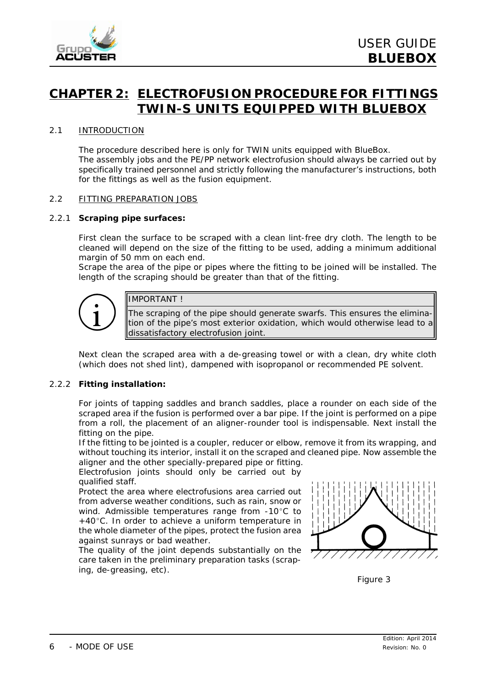

### **CHAPTER 2: ELECTROFUSION PROCEDURE FOR FITTINGS TWIN-S UNITS EQUIPPED WITH BLUEBOX**

#### 2.1 INTRODUCTION

The procedure described here is only for TWIN units equipped with BlueBox. The assembly jobs and the PE/PP network electrofusion should always be carried out by specifically trained personnel and strictly following the manufacturer's instructions, both for the fittings as well as the fusion equipment.

#### 2.2 FITTING PREPARATION JOBS

#### 2.2.1 **Scraping pipe surfaces:**

First clean the surface to be scraped with a clean lint-free dry cloth. The length to be cleaned will depend on the size of the fitting to be used, adding a minimum additional margin of 50 mm on each end.

Scrape the area of the pipe or pipes where the fitting to be joined will be installed. The length of the scraping should be greater than that of the fitting.



#### IMPORTANT !

The scraping of the pipe should generate swarfs. This ensures the elimination of the pipe's most exterior oxidation, which would otherwise lead to a dissatisfactory electrofusion joint.

Next clean the scraped area with a de-greasing towel or with a clean, dry white cloth (which does not shed lint), dampened with isopropanol or recommended PE solvent.

#### 2.2.2 **Fitting installation:**

For joints of *tapping saddles* and *branch saddles*, place a rounder on each side of the scraped area if the fusion is performed over a bar pipe. If the joint is performed on a pipe from a roll, the placement of an aligner-rounder tool is indispensable. Next install the fitting on the pipe.

If the fitting to be jointed is a *coupler*, *reducer* or *elbow*, remove it from its wrapping, and without touching its interior, install it on the scraped and cleaned pipe. Now assemble the aligner and the other specially-prepared pipe or fitting.

Electrofusion joints should only be carried out by qualified staff.

Protect the area where electrofusions area carried out from adverse weather conditions, such as rain, snow or wind. Admissible temperatures range from  $-10^{\circ}$ C to  $+40^{\circ}$ C. In order to achieve a uniform temperature in the whole diameter of the pipes, protect the fusion area against sunrays or bad weather.

The quality of the joint depends substantially on the care taken in the preliminary preparation tasks (scraping, de-greasing, etc).



*Figure 3*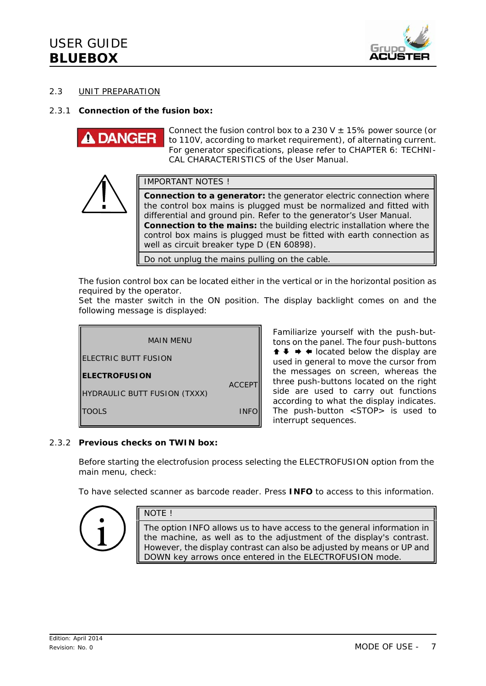

#### 2.3 UNIT PREPARATION

#### 2.3.1 **Connection of the fusion box:**

**DANGE** 

Connect the fusion control box to a 230 V  $\pm$  15% power source (or to 110V, according to market requirement), of alternating current. For generator specifications, please refer to *CHAPTER 6: TECHNI-CAL CHARACTERISTICS* of the *User Manual*.



IMPORTANT NOTES !

**Connection to a generator:** the generator electric connection where the control box mains is plugged must be normalized and fitted with differential and ground pin. Refer to the generator's User Manual. **Connection to the mains:** the building electric installation where the control box mains is plugged must be fitted with earth connection as well as circuit breaker type D (EN 60898).

Do not unplug the mains pulling on the cable.

The fusion control box can be located either in the vertical or in the horizontal position as required by the operator.

Set the master switch in the ON position. The display backlight comes on and the following message is displayed:



Familiarize yourself with the push-buttons on the panel. The four push-buttons  $\uparrow \uparrow \uparrow \uparrow$  iocated below the display are used in general to move the cursor from the messages on screen, whereas the three push-buttons located on the right side are used to carry out functions according to what the display indicates. The push-button <STOP> is used to interrupt sequences.

#### 2.3.2 **Previous checks on TWIN box:**

NOTE !

Before starting the electrofusion process selecting the ELECTROFUSION option from the main menu, check:

To have selected *scanner* as barcode reader. Press **INFO** to access to this information.



The option INFO allows us to have access to the general information in the machine, as well as to the adjustment of the display's contrast. However, the display contrast can also be adjusted by means or UP and DOWN key arrows once entered in the ELECTROFUSION mode.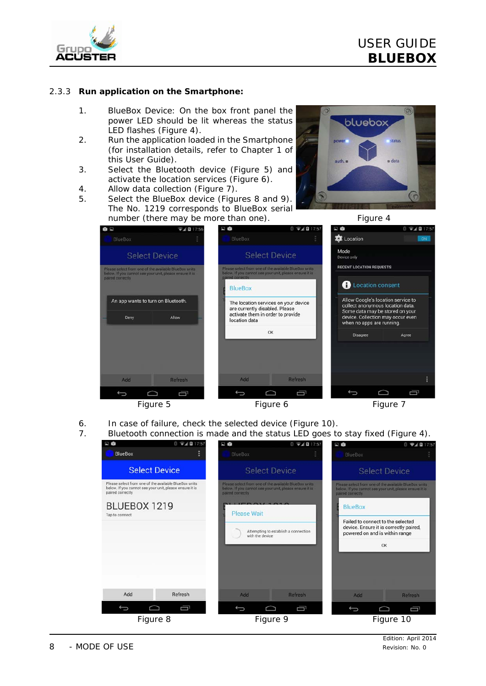

#### 2.3.3 **Run application on the Smartphone:**

- 1. BlueBox Device: On the box front panel the power LED should be lit whereas the status LED flashes (*Figure 4*).
- 2. Run the application loaded in the Smartphone (for installation details, refer to Chapter 1 of this *User Guide*).
- 3. Select the Bluetooth device (*Figure 5*) and activate the location services (*Figure 6*).
- 4. Allow data collection (*Figure 7*).
- 5. Select the BlueBox device (*Figures 8* and *9*). The No. 1219 corresponds to BlueBox serial number (there may be more than one). *Figure 4*





- 6. In case of failure, check the selected device (*Figure 10*).
- 7. Bluetooth connection is made and the *status* LED goes to stay fixed (*Figure 4*).

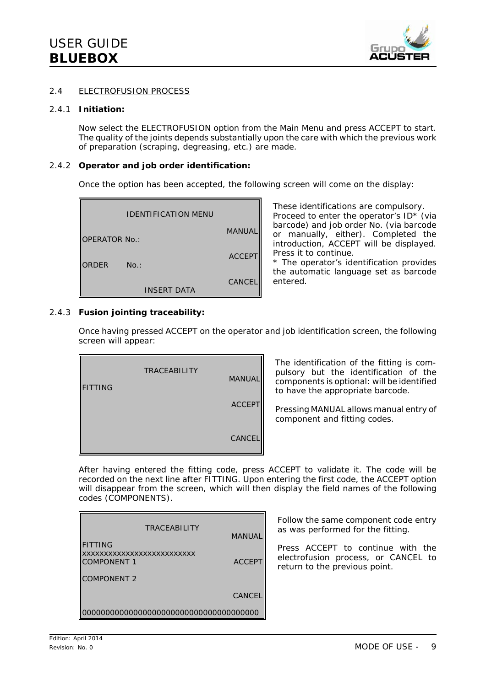

#### 2.4 ELECTROFUSION PROCESS

#### 2.4.1 **Initiation:**

Now select the ELECTROFUSION option from the Main Menu and press ACCEPT to start. The quality of the joints depends substantially upon the care with which the previous work of preparation (scraping, degreasing, etc.) are made.

#### 2.4.2 **Operator and job order identification:**

Once the option has been accepted, the following screen will come on the display:

|                      | <b>IDENTIFICATION MENU</b> |               |
|----------------------|----------------------------|---------------|
| <b>OPERATOR No.:</b> |                            | MANUAL        |
| ORDER                | No.:                       | <b>ACCEPT</b> |
|                      | <b>INSERT DATA</b>         | <b>CANCEL</b> |

These identifications are compulsory. Proceed to enter the operator's ID\* (via barcode) and job order No. (via barcode or manually, either). Completed the introduction, ACCEPT will be displayed. Press it to continue.

\* *The operator's identification provides the automatic language set as barcode entered.*

#### 2.4.3 **Fusion jointing traceability:**

Once having pressed ACCEPT on the operator and job identification screen, the following screen will appear:

| <b>FITTING</b> | <b>TRACEABILITY</b> | <b>MANUAL</b> |
|----------------|---------------------|---------------|
|                |                     | <b>ACCEPT</b> |
|                |                     | <b>CANCEL</b> |

The identification of the fitting is compulsory but the identification of the components is optional: will be identified to have the appropriate barcode.

Pressing MANUAL allows manual entry of component and fitting codes.

After having entered the fitting code, press ACCEPT to validate it. The code will be recorded on the next line after FITTING. Upon entering the first code, the ACCEPT option will disappear from the screen, which will then display the field names of the following codes (COMPONENTS).

| <b>TRACEABILITY</b>                              |               |
|--------------------------------------------------|---------------|
| <b>FITTING</b>                                   | <b>MANUA</b>  |
| xxxxxxxxxxxxxxxxxxxxxxxxxx<br><b>COMPONENT 1</b> | <b>ACCEPT</b> |
| <b>COMPONENT 2</b>                               |               |
|                                                  | <b>CANCE</b>  |
|                                                  |               |

Follow the same component code entry as was performed for the fitting.

Press ACCEPT to continue with the electrofusion process, or CANCEL to return to the previous point.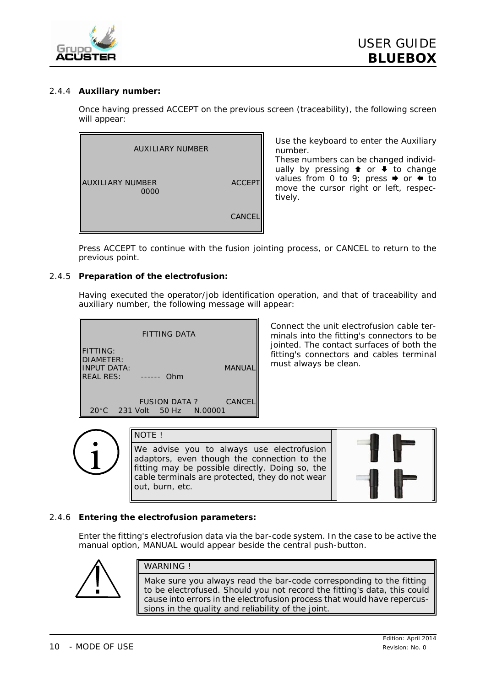

#### 2.4.4 **Auxiliary number:**

Once having pressed ACCEPT on the previous screen (traceability), the following screen will appear:



Use the keyboard to enter the Auxiliary number.

These numbers can be changed individually by pressing  $\bullet$  or  $\bullet$  to change values from 0 to 9; press  $\rightarrow$  or  $\leftarrow$  to move the cursor right or left, respectively.

Press ACCEPT to continue with the fusion jointing process, or CANCEL to return to the previous point.

#### 2.4.5 **Preparation of the electrofusion:**

Having executed the operator/job identification operation, and that of traceability and auxiliary number, the following message will appear:



Connect the unit electrofusion cable terminals into the fitting's connectors to be jointed. The contact surfaces of both the fitting's connectors and cables terminal must always be clean.



NOTE !

We advise you to always use electrofusion adaptors, even though the connection to the fitting may be possible directly. Doing so, the cable terminals are protected, they do not wear out, burn, etc.



#### 2.4.6 **Entering the electrofusion parameters:**

Enter the fitting's electrofusion data via the bar-code system. In the case to be active the manual option, *MANUAL* would appear beside the central push-button.



#### WARNING !

Make sure you always read the bar-code corresponding to the fitting to be electrofused. Should you not record the fitting's data, this could cause into errors in the electrofusion process that would have repercussions in the quality and reliability of the joint.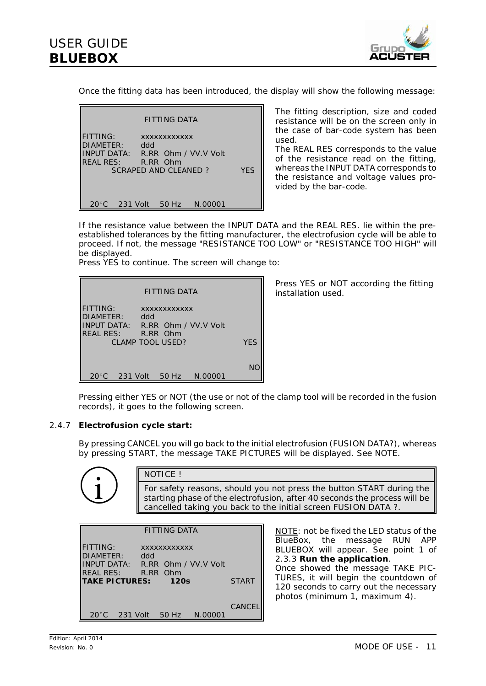

Once the fitting data has been introduced, the display will show the following message:

|                                                        | FITTING DATA                                                                           |     |
|--------------------------------------------------------|----------------------------------------------------------------------------------------|-----|
| <b>FITTING:</b><br>DIAMETER: ddd<br>REAL RES: R.RR Ohm | <b>XXXXXXXXXXXX</b><br>INPUT DATA: R.RR Ohm / VV.V Volt<br><b>SCRAPED AND CLEANED?</b> | YFS |
| 20°C                                                   | 231 Volt 50 Hz N.00001                                                                 |     |

The fitting description, size and coded resistance will be on the screen only in the case of bar-code system has been used.

The REAL RES corresponds to the value of the resistance read on the fitting, whereas the INPUT DATA corresponds to the resistance and voltage values provided by the bar-code.

If the resistance value between the INPUT DATA and the REAL RES. lie within the preestablished tolerances by the fitting manufacturer, the electrofusion cycle will be able to proceed. If not, the message "RESISTANCE TOO LOW" or "RESISTANCE TOO HIGH" will be displayed.

Press YES to continue. The screen will change to:

|                                                                  | FITTING DATA               |            |
|------------------------------------------------------------------|----------------------------|------------|
| <b>FITTING:</b><br>DIAMETER:<br>INPUT DATA: R.RR Ohm / VV.V Volt | <b>XXXXXXXXXXXX</b><br>ddd |            |
| REAL RES: R.RR Ohm                                               | <b>CLAMP TOOL USED?</b>    | <b>YFS</b> |
| 20°C 231 Volt 50 Hz N.00001                                      |                            | NO         |

Press YES or NOT according the fitting installation used.

Pressing either YES or NOT (the use or not of the clamp tool will be recorded in the fusion records), it goes to the following screen.

#### 2.4.7 **Electrofusion cycle start:**

By pressing CANCEL you will go back to the initial electrofusion (FUSION DATA?), whereas by pressing START, the message TAKE PICTURES will be displayed. See NOTE.

> NOTICE ! For safety reasons, should you not press the button START during the starting phase of the electrofusion, after 40 seconds the process will be cancelled taking you back to the initial screen FUSION DATA ?.

| <b>FITTING DATA</b>                                                                    |     |                     |  |               |
|----------------------------------------------------------------------------------------|-----|---------------------|--|---------------|
| <b>FITTING:</b><br>DIAMETER:<br>INPUT DATA: R.RR Ohm / VV.V Volt<br>REAL RES: R.RR Ohm | ddd | <b>XXXXXXXXXXXX</b> |  |               |
| <b>TAKE PICTURES:</b>                                                                  |     | <b>120s</b>         |  | <b>START</b>  |
| 20°C 231 Volt 50 Hz N.00001                                                            |     |                     |  | <b>CANCEL</b> |

NOTE: not be fixed the LED *status* of the BlueBox, the message RUN APP BLUEBOX will appear. See point 1 of 2.3.3 **Run the application**. Once showed the message TAKE PIC-TURES, it will begin the countdown of 120 seconds to carry out the necessary photos (minimum 1, maximum 4).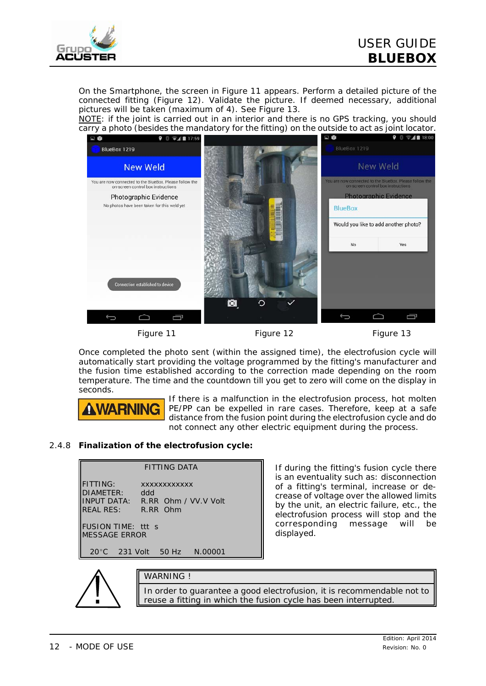

On the Smartphone, the screen in *Figure 11* appears. Perform a detailed picture of the connected fitting (*Figure 12*). Validate the picture. If deemed necessary, additional pictures will be taken (maximum of 4). See *Figure 13*.

NOTE: if the joint is carried out in an interior and there is no GPS tracking, you should carry a photo (besides the mandatory for the fitting) on the outside to act as joint locator.



*Figure 11 Figure 12 Figure 13*

Once completed the photo sent (within the assigned time), the electrofusion cycle will automatically start providing the voltage programmed by the fitting's manufacturer and the fusion time established according to the correction made depending on the room temperature. The time and the countdown till you get to zero will come on the display in seconds.



If there is a malfunction in the electrofusion process, hot molten PE/PP can be expelled in rare cases. Therefore, keep at a safe distance from the fusion point during the electrofusion cycle and do not connect any other electric equipment during the process.

#### 2.4.8 **Finalization of the electrofusion cycle:**



If during the fitting's fusion cycle there is an eventuality such as: disconnection of a fitting's terminal, increase or decrease of voltage over the allowed limits by the unit, an electric failure, etc., the electrofusion process will stop and the corresponding message will be displayed.



#### WARNING **I**

In order to guarantee a good electrofusion, it is recommendable not to reuse a fitting in which the fusion cycle has been interrupted.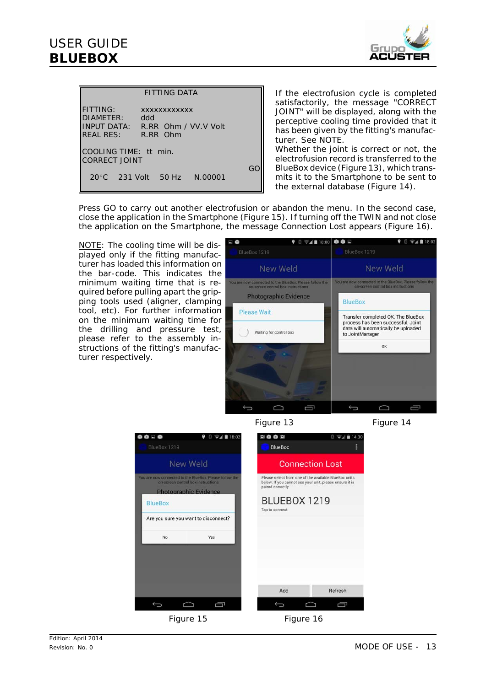### *USER GUIDE* **BLUEBOX**



| <b>FITTING DATA</b>                                                                                                                   |    |  |
|---------------------------------------------------------------------------------------------------------------------------------------|----|--|
| <b>FITTING:</b><br><b>XXXXXXXXXXXX</b><br>DIAMETER:<br>ddd<br><b>INPUT DATA: R.RR Ohm / VV.V Volt</b><br><b>REAL RES:</b><br>R.RR Ohm |    |  |
| COOLING TIME: tt min.<br><b>CORRECT JOINT</b>                                                                                         |    |  |
| 20°C 231 Volt 50 Hz N.00001                                                                                                           | GO |  |

If the electrofusion cycle is completed satisfactorily, the message "CORRECT JOINT" will be displayed, along with the perceptive cooling time provided that it has been given by the fitting's manufacturer. See NOTE. Whether the joint is correct or not, the

electrofusion record is transferred to the BlueBox device (*Figure 13*), which transmits it to the Smartphone to be sent to the external database (*Figure 14*).

Press GO to carry out another electrofusion or abandon the menu. In the second case, close the application in the Smartphone (*Figure 15*). If turning off the TWIN and not close the application on the Smartphone, the message Connection Lost appears (*Figure 16*).

NOTE: The cooling time will be displayed only if the fitting manufacturer has loaded this information on the bar-code. This indicates the minimum waiting time that is required before pulling apart the gripping tools used (aligner, clamping tool, etc). For further information on the minimum waiting time for the drilling and pressure test, please refer to the assembly instructions of the fitting's manufacturer respectively.





*Figure 15 Figure 16*

*Figure 13 Figure 14*